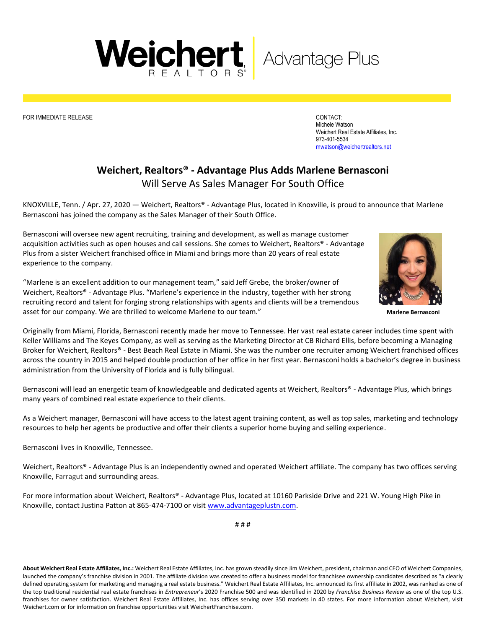FOR IMMEDIATE RELEASE CONTACT:

Michele Watson Weichert Real Estate Affiliates, Inc. 973-401-5534 [mwatson@weichertrealtors.net](mailto:mwatson@weichertrealtors.net)

## **Weichert, Realtors® - Advantage Plus Adds Marlene Bernasconi** Will Serve As Sales Manager For South Office

KNOXVILLE, Tenn. / Apr. 27, 2020 — Weichert, Realtors® - Advantage Plus, located in Knoxville, is proud to announce that Marlene Bernasconi has joined the company as the Sales Manager of their South Office.

Bernasconi will oversee new agent recruiting, training and development, as well as manage customer acquisition activities such as open houses and call sessions. She comes to Weichert, Realtors® - Advantage Plus from a sister Weichert franchised office in Miami and brings more than 20 years of real estate experience to the company.

"Marlene is an excellent addition to our management team," said Jeff Grebe, the broker/owner of Weichert, Realtors® - Advantage Plus. "Marlene's experience in the industry, together with her strong recruiting record and talent for forging strong relationships with agents and clients will be a tremendous asset for our company. We are thrilled to welcome Marlene to our team."

Originally from Miami, Florida, Bernasconi recently made her move to Tennessee. Her vast real estate career includes time spent with Keller Williams and The Keyes Company, as well as serving as the Marketing Director at CB Richard Ellis, before becoming a Managing Broker for Weichert, Realtors® - Best Beach Real Estate in Miami. She was the number one recruiter among Weichert franchised offices across the country in 2015 and helped double production of her office in her first year. Bernasconi holds a bachelor's degree in business administration from the University of Florida and is fully bilingual.

Bernasconi will lead an energetic team of knowledgeable and dedicated agents at Weichert, Realtors® - Advantage Plus, which brings many years of combined real estate experience to their clients.

As a Weichert manager, Bernasconi will have access to the latest agent training content, as well as top sales, marketing and technology resources to help her agents be productive and offer their clients a superior home buying and selling experience.

Bernasconi lives in Knoxville, Tennessee.

Weichert, Realtors® - Advantage Plus is an independently owned and operated Weichert affiliate. The company has two offices serving Knoxville, Farragut and surrounding areas.

For more information about Weichert, Realtors® - Advantage Plus, located at 10160 Parkside Drive and 221 W. Young High Pike in Knoxville, contact Justina Patton at 865-474-7100 or visi[t www.advantageplustn.com.](http://www.advantageplustn.com/) 

# # #

**About Weichert Real Estate Affiliates, Inc.:** Weichert Real Estate Affiliates, Inc. has grown steadily since Jim Weichert, president, chairman and CEO of Weichert Companies, launched the company's franchise division in 2001. The affiliate division was created to offer a business model for franchisee ownership candidates described as "a clearly defined operating system for marketing and managing a real estate business." Weichert Real Estate Affiliates, Inc. announced its first affiliate in 2002, was ranked as one of the top traditional residential real estate franchises in *Entrepreneur*'s 2020 Franchise 500 and was identified in 2020 by *Franchise Business Review* as one of the top U.S. franchises for owner satisfaction. Weichert Real Estate Affiliates, Inc. has offices serving over 350 markets in 40 states. For more information about Weichert, visit Weichert.com or for information on franchise opportunities visit WeichertFranchise.com.



**Marlene Bernasconi**

Weichert, Advantage Plus